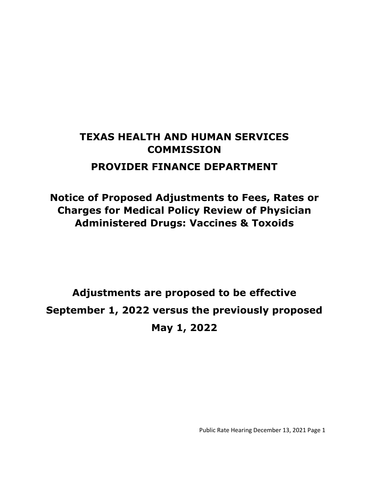# **TEXAS HEALTH AND HUMAN SERVICES COMMISSION PROVIDER FINANCE DEPARTMENT**

**Notice of Proposed Adjustments to Fees, Rates or Charges for Medical Policy Review of Physician Administered Drugs: Vaccines & Toxoids**

**Adjustments are proposed to be effective September 1, 2022 versus the previously proposed May 1, 2022**

Public Rate Hearing December 13, 2021 Page 1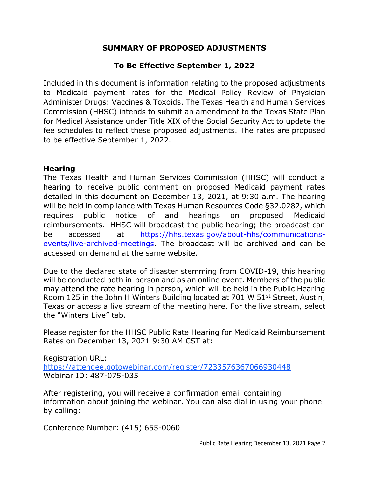### **SUMMARY OF PROPOSED ADJUSTMENTS**

## **To Be Effective September 1, 2022**

Included in this document is information relating to the proposed adjustments to Medicaid payment rates for the Medical Policy Review of Physician Administer Drugs: Vaccines & Toxoids. The Texas Health and Human Services Commission (HHSC) intends to submit an amendment to the Texas State Plan for Medical Assistance under Title XIX of the Social Security Act to update the fee schedules to reflect these proposed adjustments. The rates are proposed to be effective September 1, 2022.

#### **Hearing**

The Texas Health and Human Services Commission (HHSC) will conduct a hearing to receive public comment on proposed Medicaid payment rates detailed in this document on December 13, 2021, at 9:30 a.m. The hearing will be held in compliance with Texas Human Resources Code §32.0282, which requires public notice of and hearings on proposed Medicaid reimbursements. HHSC will broadcast the public hearing; the broadcast can be accessed at [https://hhs.texas.gov/about-hhs/communications](https://hhs.texas.gov/about-hhs/communications-events/live-archived-meetings)[events/live-archived-meetings.](https://hhs.texas.gov/about-hhs/communications-events/live-archived-meetings) The broadcast will be archived and can be accessed on demand at the same website.

Due to the declared state of disaster stemming from COVID-19, this hearing will be conducted both in-person and as an online event. Members of the public may attend the rate hearing in person, which will be held in the Public Hearing Room 125 in the John H Winters Building located at 701 W 51<sup>st</sup> Street, Austin, Texas or access a live stream of the meeting here. For the live stream, select the "Winters Live" tab.

Please register for the HHSC Public Rate Hearing for Medicaid Reimbursement Rates on December 13, 2021 9:30 AM CST at:

Registration URL: <https://attendee.gotowebinar.com/register/7233576367066930448> Webinar ID: 487-075-035

After registering, you will receive a confirmation email containing information about joining the webinar. You can also dial in using your phone by calling:

Conference Number: (415) 655-0060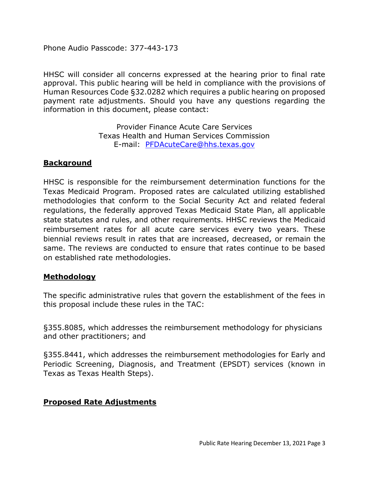Phone Audio Passcode: 377-443-173

HHSC will consider all concerns expressed at the hearing prior to final rate approval. This public hearing will be held in compliance with the provisions of Human Resources Code §32.0282 which requires a public hearing on proposed payment rate adjustments. Should you have any questions regarding the information in this document, please contact:

> Provider Finance Acute Care Services Texas Health and Human Services Commission E-mail: [PFDAcuteCare@hhs.texas.gov](mailto:PFDAcuteCare@hhs.texas.gov)

#### **Background**

HHSC is responsible for the reimbursement determination functions for the Texas Medicaid Program. Proposed rates are calculated utilizing established methodologies that conform to the Social Security Act and related federal regulations, the federally approved Texas Medicaid State Plan, all applicable state statutes and rules, and other requirements. HHSC reviews the Medicaid reimbursement rates for all acute care services every two years. These biennial reviews result in rates that are increased, decreased, or remain the same. The reviews are conducted to ensure that rates continue to be based on established rate methodologies.

#### **Methodology**

The specific administrative rules that govern the establishment of the fees in this proposal include these rules in the TAC:

§355.8085, which addresses the reimbursement methodology for physicians and other practitioners; and

§355.8441, which addresses the reimbursement methodologies for Early and Periodic Screening, Diagnosis, and Treatment (EPSDT) services (known in Texas as Texas Health Steps).

#### **Proposed Rate Adjustments**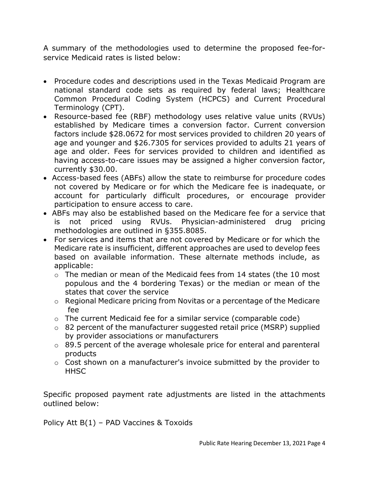A summary of the methodologies used to determine the proposed fee-forservice Medicaid rates is listed below:

- Procedure codes and descriptions used in the Texas Medicaid Program are national standard code sets as required by federal laws; Healthcare Common Procedural Coding System (HCPCS) and Current Procedural Terminology (CPT).
- Resource-based fee (RBF) methodology uses relative value units (RVUs) established by Medicare times a conversion factor. Current conversion factors include \$28.0672 for most services provided to children 20 years of age and younger and \$26.7305 for services provided to adults 21 years of age and older. Fees for services provided to children and identified as having access-to-care issues may be assigned a higher conversion factor, currently \$30.00.
- Access-based fees (ABFs) allow the state to reimburse for procedure codes not covered by Medicare or for which the Medicare fee is inadequate, or account for particularly difficult procedures, or encourage provider participation to ensure access to care.
- ABFs may also be established based on the Medicare fee for a service that is not priced using RVUs. Physician-administered drug pricing methodologies are outlined in §355.8085.
- For services and items that are not covered by Medicare or for which the Medicare rate is insufficient, different approaches are used to develop fees based on available information. These alternate methods include, as applicable:
	- o The median or mean of the Medicaid fees from 14 states (the 10 most populous and the 4 bordering Texas) or the median or mean of the states that cover the service
	- o Regional Medicare pricing from Novitas or a percentage of the Medicare fee
	- o The current Medicaid fee for a similar service (comparable code)
	- o 82 percent of the manufacturer suggested retail price (MSRP) supplied by provider associations or manufacturers
	- o 89.5 percent of the average wholesale price for enteral and parenteral products
	- o Cost shown on a manufacturer's invoice submitted by the provider to **HHSC**

Specific proposed payment rate adjustments are listed in the attachments outlined below:

Policy Att B(1) – PAD Vaccines & Toxoids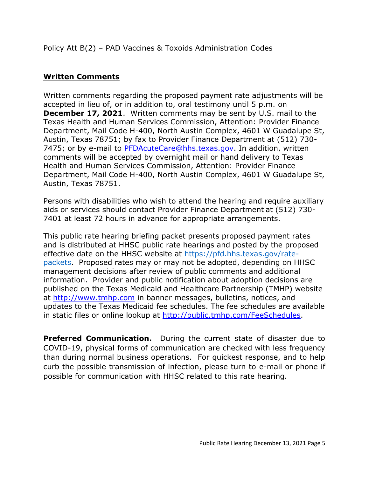Policy Att B(2) – PAD Vaccines & Toxoids Administration Codes

### **Written Comments**

Written comments regarding the proposed payment rate adjustments will be accepted in lieu of, or in addition to, oral testimony until 5 p.m. on **December 17, 2021**. Written comments may be sent by U.S. mail to the Texas Health and Human Services Commission, Attention: Provider Finance Department, Mail Code H-400, North Austin Complex, 4601 W Guadalupe St, Austin, Texas 78751; by fax to Provider Finance Department at (512) 730- 7475; or by e-mail to [PFDAcuteCare@hhs.texas.gov.](mailto:PFDAcuteCare@hhs.texas.gov) In addition, written comments will be accepted by overnight mail or hand delivery to Texas Health and Human Services Commission, Attention: Provider Finance Department, Mail Code H-400, North Austin Complex, 4601 W Guadalupe St, Austin, Texas 78751.

Persons with disabilities who wish to attend the hearing and require auxiliary aids or services should contact Provider Finance Department at (512) 730- 7401 at least 72 hours in advance for appropriate arrangements.

This public rate hearing briefing packet presents proposed payment rates and is distributed at HHSC public rate hearings and posted by the proposed effective date on the HHSC website at [https://pfd.hhs.texas.gov/rate](https://pfd.hhs.texas.gov/rate-packets)[packets.](https://pfd.hhs.texas.gov/rate-packets) Proposed rates may or may not be adopted, depending on HHSC management decisions after review of public comments and additional information. Provider and public notification about adoption decisions are published on the Texas Medicaid and Healthcare Partnership (TMHP) website at [http://www.tmhp.com](http://www.tmhp.com/) in banner messages, bulletins, notices, and updates to the Texas Medicaid fee schedules. The fee schedules are available in static files or online lookup at [http://public.tmhp.com/FeeSchedules.](http://public.tmhp.com/FeeSchedules)

**Preferred Communication.** During the current state of disaster due to COVID-19, physical forms of communication are checked with less frequency than during normal business operations. For quickest response, and to help curb the possible transmission of infection, please turn to e-mail or phone if possible for communication with HHSC related to this rate hearing.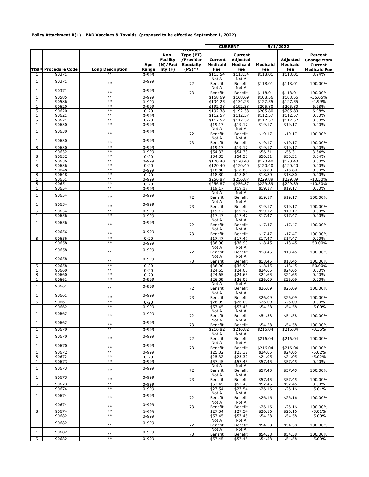#### **Policy Attachment B(1) - PAD Vaccines & Toxoids (proposed to be effective September 1, 2022)**

|              |                                     |                               |                           |                                                 |                                                                    | <b>CURRENT</b>                                |                                                    | 9/1/2022                    |                                                |                                                                          |
|--------------|-------------------------------------|-------------------------------|---------------------------|-------------------------------------------------|--------------------------------------------------------------------|-----------------------------------------------|----------------------------------------------------|-----------------------------|------------------------------------------------|--------------------------------------------------------------------------|
| 1            | <b>TOS* Procedure Code</b><br>90371 | <b>Long Description</b><br>∗∗ | Age<br>Range<br>$0 - 999$ | Non-<br><b>Facility</b><br>(N)/Faci<br>lity (F) | Provider<br>Type (PT)<br>/Provider<br><b>Specialty</b><br>$(PS)**$ | Current<br><b>Medicaid</b><br>Fee<br>\$113.54 | Current<br>Adjusted<br>Medicaid<br>Fee<br>\$113.54 | Medicaid<br>Fee<br>\$118.01 | <b>Adjusted</b><br>Medicaid<br>Fee<br>\$118.01 | Percent<br><b>Change from</b><br>Current<br><b>Medicaid Fee</b><br>3.94% |
| $\mathbf{1}$ | 90371                               | $**$                          | 0-999                     |                                                 | 72                                                                 | Not A<br>Benefit                              | Not A<br>Benefit                                   | \$118.01                    | \$118.01                                       | 100.00%                                                                  |
| 1            | 90371                               | $**$                          | 0-999                     |                                                 | 73                                                                 | Not A<br>Benefit                              | Not A<br>Benefit                                   | \$118.01                    | \$118.01                                       | 100.00%                                                                  |
| 1            | 90585                               | $**$                          | 0-999                     |                                                 |                                                                    | \$168.69                                      | \$168.69                                           | \$108.56                    | \$108.56                                       | $-35.65%$                                                                |
| 1            | 90586                               | $**$                          |                           |                                                 |                                                                    | \$134.25                                      | \$134.25                                           |                             | \$127.55                                       | $-4.99%$                                                                 |
| $\mathbf{1}$ | 90620                               | $**$                          | $0 - 999$<br>0-999        |                                                 |                                                                    | \$192.38                                      | \$192.38                                           | \$127.55<br>\$205.80        | \$205.80                                       | 6.98%                                                                    |
|              |                                     | $**$                          |                           |                                                 |                                                                    | \$192.38                                      | \$192.38                                           |                             |                                                |                                                                          |
| S            | 90620<br>90621                      | $**$                          | $0 - 20$                  |                                                 |                                                                    |                                               |                                                    | \$205.80<br>\$112.57        | \$205.80                                       | 6.98%                                                                    |
| 1            |                                     | $**$                          | 0-999                     |                                                 |                                                                    | \$112.57                                      | \$112.57                                           |                             | \$112.57                                       | 0.00%                                                                    |
| S            | 90621                               | $**$                          | $0 - 20$                  |                                                 |                                                                    | \$112.57                                      | \$112.57                                           | \$112.57                    | \$112.57                                       | 0.00%                                                                    |
| 1            | 90630                               |                               | $0 - 999$                 |                                                 |                                                                    | \$19.17                                       | \$19.17                                            | \$19.17                     | \$19.17                                        | 0.00%                                                                    |
| $\mathbf{1}$ | 90630                               | $**$                          | $0 - 999$                 |                                                 | 72                                                                 | Not A<br>Benefit<br>Not A                     | Not A<br>Benefit<br>Not A                          | \$19.17                     | \$19.17                                        | 100.00%                                                                  |
| $\mathbf{1}$ | 90630                               | $***$                         | $0 - 999$                 |                                                 | 73                                                                 | Benefit                                       | Benefit                                            | \$19.17                     | \$19.17                                        | 100.00%                                                                  |
| S            | 90630                               | $**$                          | 0-999                     |                                                 |                                                                    | \$19.17                                       | \$19.17                                            | \$19.17                     | \$19.17                                        | 0.00%                                                                    |
| 1            | 90632                               | $**$                          | 0-999                     |                                                 |                                                                    | \$54.33                                       | \$54.33                                            | \$56.31                     | \$56.31                                        | 3.64%                                                                    |
| S            | 90632                               | $**$                          | $0 - 20$                  |                                                 |                                                                    | \$54.33                                       | \$54.33                                            | \$56.31                     | \$56.31                                        | 3.64%                                                                    |
| $\mathbf 1$  | 90636                               | $**$                          | 0-999                     |                                                 |                                                                    | \$120.40                                      | \$120.40                                           | \$120.40                    | \$120.40                                       | 0.00%                                                                    |
| S            | 90636                               | $**$                          | $0 - 20$                  |                                                 |                                                                    | \$120.40                                      | \$120.40                                           | \$120.40                    | \$120.40                                       | 0.00%                                                                    |
| 1            | 90648                               | $**$                          | 0-999                     |                                                 |                                                                    | \$18.80                                       | \$18.80                                            | \$18.80                     | \$18.80                                        | 0.00%                                                                    |
| S            | 90648                               | $**$                          | $0 - 20$                  |                                                 |                                                                    | \$18.80                                       | \$18.80                                            | \$18.80                     | \$18.80                                        | 0.00%                                                                    |
| 1            | 90651                               | $**$                          | 0-999                     |                                                 |                                                                    | \$256.87                                      | \$256.87                                           | \$229.89                    | \$229.89                                       | $-10.50%$                                                                |
| S            | 90651                               | $**$                          | $0 - 20$                  |                                                 |                                                                    | \$256.87                                      | \$256.87                                           | \$229.89                    | \$229.89                                       | $-10.50%$                                                                |
| 1            | 90654                               | $**$                          | 0-999                     |                                                 |                                                                    | \$19.17                                       | \$19.17                                            | \$19.17                     | \$19.17                                        | $0.00\%$                                                                 |
| $\mathbf{1}$ | 90654                               | $**$                          | 0-999                     |                                                 | 72                                                                 | Not A<br>Benefit                              | Not A<br>Benefit                                   | \$19.17                     | \$19.17                                        | 100.00%                                                                  |
| $\mathbf{1}$ | 90654                               | $**$                          | 0-999                     |                                                 | 73                                                                 | Not A<br>Benefit                              | Not A<br>Benefit                                   | \$19.17                     | \$19.17                                        | 100.00%                                                                  |
| S            | 90654                               | $**$                          | $0 - 999$                 |                                                 |                                                                    | \$19.17                                       | \$19.17                                            | \$19.17                     | \$19.17                                        | 0.00%                                                                    |
| 1            | 90656                               | $**$                          | 0-999                     |                                                 |                                                                    | \$17.47                                       | \$17.47                                            | \$17.47                     | \$17.47                                        | 0.00%                                                                    |
| $\mathbf{1}$ | 90656                               | $**$                          | $0 - 999$                 |                                                 | 72                                                                 | Not A<br>Benefit                              | Not A<br>Benefit                                   | \$17.47                     | \$17.47                                        | 100.00%                                                                  |
| 1            | 90656                               | $**$                          | $0 - 999$                 |                                                 | 73                                                                 | Not A<br>Benefit                              | Not A<br>Benefit                                   | \$17.47                     | \$17.47                                        | 100.00%                                                                  |
| S            | 90656                               | $**$                          | $0 - 20$                  |                                                 |                                                                    | \$17.47                                       | \$17.47                                            | \$17.47                     | \$17.47                                        | 0.00%                                                                    |
| 1            | 90658                               | $**$                          | 0-999                     |                                                 |                                                                    | \$36.90                                       | \$36.90                                            | \$18.45                     | \$18.45                                        | $-50.00%$                                                                |
| $\mathbf{1}$ | 90658                               | $**$                          | $0 - 999$                 |                                                 | 72                                                                 | Not A<br>Benefit                              | Not A<br>Benefit                                   | \$18.45                     | \$18.45                                        | 100.00%                                                                  |
| 1            | 90658                               | $**$                          | 0-999                     |                                                 | 73                                                                 | Not A<br>Benefit                              | Not A<br>Benefit                                   | \$18.45                     | \$18.45                                        | 100.00%                                                                  |
| S            | 90658                               | $**$                          | $0 - 20$                  |                                                 |                                                                    | \$36.90                                       | \$36.90                                            | \$18.45                     | \$18.45                                        | $-50.00%$                                                                |
| 1            | 90660                               | $**$                          | $0 - 20$                  |                                                 |                                                                    | \$24.65                                       | \$24.65                                            | \$24.65                     | \$24.65                                        | 0.00%                                                                    |
| S            | 90660                               | $**$                          | $0 - 20$                  |                                                 |                                                                    | \$24.65                                       | \$24.65                                            | \$24.65                     | \$24.65                                        | 0.00%                                                                    |
| $\mathbf{1}$ | 90661                               | $**$                          | 0-999                     |                                                 |                                                                    | \$26.09                                       | \$26.09                                            | \$26.09                     | \$26.09                                        | 0.00%                                                                    |
| $\mathbf{1}$ | 90661                               | $**$                          | $0 - 999$                 |                                                 | 72                                                                 | Not A<br>Benefit                              | Not A<br>Benefit                                   | \$26.09                     | \$26.09                                        | 100.00%                                                                  |
| 1            | 90661                               | $**$                          | 0-999                     |                                                 | 73                                                                 | Not A<br>Benefit                              | Not A<br>Benefit                                   | \$26.09                     | \$26.09                                        | 100.00%                                                                  |
| S            | 90661                               | $**$                          | $0 - 20$                  |                                                 |                                                                    | \$26.09                                       | \$26.09                                            | \$26.09                     | \$26.09                                        | 0.00%                                                                    |
| $\mathbf{1}$ | 90662                               | $**$                          | $0 - 999$                 |                                                 |                                                                    | \$57.45                                       | \$57.45                                            | \$54.58                     | \$54.58                                        | $-5.00%$                                                                 |
| $\mathbf{1}$ | 90662                               | $***$                         | $0 - 999$                 |                                                 | 72                                                                 | Not A<br><b>Benefit</b>                       | Not A<br>Benefit                                   | \$54.58                     | \$54.58                                        | 100.00%                                                                  |
| $\mathbf{1}$ | 90662                               | $**$                          | $0 - 999$                 |                                                 | 73                                                                 | Not A<br>Benefit                              | Not A<br>Benefit                                   | \$54.58                     | \$54.58                                        | 100.00%                                                                  |
| 1            | 90670                               | $**$                          | $0 - 999$                 |                                                 |                                                                    | \$216.82                                      | \$216.82                                           | \$216.04                    | \$216.04                                       | $-0.36%$                                                                 |
| $\mathbf{1}$ | 90670                               | $***$                         | 0-999                     |                                                 | 72                                                                 | Not A<br>Benefit                              | Not A<br>Benefit                                   | \$216.04                    | \$216.04                                       | 100.00%                                                                  |
| $\mathbf{1}$ | 90670                               | $**$                          | $0 - 999$                 |                                                 | 73                                                                 | Not A<br>Benefit                              | Not A<br>Benefit                                   | \$216.04                    | \$216.04                                       | 100.00%                                                                  |
| 1            | 90672                               | **                            | $0 - 999$                 |                                                 |                                                                    | \$25.32                                       | \$25.32                                            | \$24.05                     | \$24.05                                        | $-5.02%$                                                                 |
| S            | 90672                               | $**$                          | $0 - 20$                  |                                                 |                                                                    | \$25.32                                       | \$25.32                                            | \$24.05                     | \$24.05                                        | $-5.02%$                                                                 |
| 1            | 90673                               | $**$                          | 0-999                     |                                                 |                                                                    | \$57.45                                       | \$57.45                                            | \$57.45                     | \$57.45                                        | $0.00\%$                                                                 |
| $\mathbf{1}$ | 90673                               | $**$                          | $0 - 999$                 |                                                 | 72                                                                 | Not A<br><b>Benefit</b>                       | Not A<br>Benefit                                   | \$57.45                     | \$57.45                                        | 100.00%                                                                  |
| 1            | 90673                               | $***$                         | $0 - 999$                 |                                                 | 73                                                                 | Not A<br>Benefit                              | Not A<br>Benefit                                   | \$57.45                     | \$57.45                                        | 100.00%                                                                  |
| S            | 90673                               | $**$                          | 0-999                     |                                                 |                                                                    | \$57.45                                       | \$57.45                                            | \$57.45                     | \$57.45                                        | 0.00%                                                                    |
| 1            | 90674                               | $**$                          | 0-999                     |                                                 |                                                                    | \$27.54                                       | \$27.54                                            | \$26.16                     | \$26.16                                        | $-5.01%$                                                                 |
| $\mathbf{1}$ | 90674                               | $**$                          | $0 - 999$                 |                                                 | 72                                                                 | Not A<br>Benefit                              | Not A<br>Benefit                                   | \$26.16                     | \$26.16                                        | 100.00%                                                                  |
| $\mathbf{1}$ | 90674                               | $***$                         | $0 - 999$                 |                                                 | 73                                                                 | Not A<br>Benefit                              | Not A<br>Benefit                                   | \$26.16                     | \$26.16                                        | 100.00%                                                                  |
| S            | 90674                               | $**$                          | 0-999                     |                                                 |                                                                    | \$27.54                                       | \$27.54                                            | \$26.16                     | \$26.16                                        | $-5.01%$                                                                 |
| 1            | 90682                               | $**$                          | $0 - 999$                 |                                                 |                                                                    | \$57.45                                       | \$57.45                                            | \$54.58                     | \$54.58                                        | $-5.00%$                                                                 |
| $\mathbf{1}$ | 90682                               | $**$                          | $0 - 999$                 |                                                 | 72                                                                 | Not A<br>Benefit                              | Not A<br>Benefit                                   | \$54.58                     | \$54.58                                        | 100.00%                                                                  |
| $\mathbf{1}$ | 90682                               | $***$                         | $0 - 999$                 |                                                 |                                                                    | Not A                                         | Not A                                              |                             |                                                |                                                                          |
|              |                                     | $**$                          |                           |                                                 | 73                                                                 | Benefit                                       | Benefit                                            | \$54.58                     | \$54.58                                        | 100.00%                                                                  |
| S            | 90682                               |                               | 0-999                     |                                                 |                                                                    | \$57.45                                       | \$57.45                                            | \$54.58                     | \$54.58                                        | $-5.00%$                                                                 |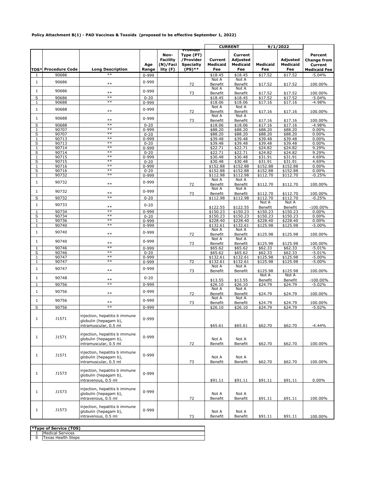#### **Policy Attachment B(1) - PAD Vaccines & Toxoids (proposed to be effective September 1, 2022)**

|                   |                            |                                                                                                          |                   |                                                 |                                                                    |                                   | <b>CURRENT</b>                         |                      | 9/1/2022                    |                                                                 |
|-------------------|----------------------------|----------------------------------------------------------------------------------------------------------|-------------------|-------------------------------------------------|--------------------------------------------------------------------|-----------------------------------|----------------------------------------|----------------------|-----------------------------|-----------------------------------------------------------------|
|                   | <b>TOS* Procedure Code</b> | <b>Long Description</b>                                                                                  | Age<br>Range      | Non-<br><b>Facility</b><br>(N)/Faci<br>lity (F) | Provider<br>Type (PT)<br>/Provider<br><b>Specialty</b><br>$(PS)**$ | Current<br><b>Medicaid</b><br>Fee | Current<br>Adjusted<br>Medicaid<br>Fee | Medicaid<br>Fee      | Adjusted<br>Medicaid<br>Fee | Percent<br><b>Change from</b><br>Current<br><b>Medicaid Fee</b> |
| 1                 | 90686                      | $**$                                                                                                     | $0 - 999$         |                                                 |                                                                    | \$18.45                           | \$18.45                                | \$17.52              | \$17.52                     | $-5.04%$                                                        |
| $\mathbf{1}$      | 90686                      | $**$                                                                                                     | $0 - 999$         |                                                 | 72                                                                 | Not A<br>Benefit                  | Not A<br>Benefit                       | \$17.52              | \$17.52                     | 100.00%                                                         |
| $\mathbf{1}$      | 90686                      | $**$                                                                                                     | $0 - 999$         |                                                 | 73                                                                 | Not A<br>Benefit                  | Not A<br>Benefit                       | \$17.52              | \$17.52                     | 100.00%                                                         |
| S                 | 90686                      | $**$                                                                                                     | $0 - 20$          |                                                 |                                                                    | \$18.45                           | \$18.45                                | \$17.52              | \$17.52                     | $-5.04%$                                                        |
| 1                 | 90688                      | $**$                                                                                                     | 0-999             |                                                 |                                                                    | \$18.06                           | \$18.06                                | \$17.16              | \$17.16                     | $-4.98%$                                                        |
| $\mathbf{1}$      | 90688                      | $**$                                                                                                     | $0 - 999$         |                                                 | 72                                                                 | Not A<br>Benefit                  | Not A<br>Benefit                       | \$17.16              | \$17.16                     | 100.00%                                                         |
| $\mathbf{1}$      | 90688                      | $**$                                                                                                     | $0 - 999$         |                                                 | 73                                                                 | Not A<br>Benefit                  | Not A<br>Benefit                       | \$17.16              | \$17.16                     | 100.00%                                                         |
| S                 | 90688                      | $**$                                                                                                     | $0 - 20$          |                                                 |                                                                    | \$18.06                           | \$18.06                                | \$17.16              | \$17.16                     | $-4.98%$                                                        |
| 1                 | 90707                      | $**$<br>$**$                                                                                             | 0-999             |                                                 |                                                                    | \$88.20                           | \$88.20                                | \$88.20              | \$88.20                     | 0.00%                                                           |
| S                 | 90707                      | $**$                                                                                                     | $0 - 20$          |                                                 |                                                                    | \$88.20                           | \$88.20                                | \$88.20              | \$88.20                     | 0.00%                                                           |
| $\mathbf{1}$<br>S | 90713<br>90713             | $**$                                                                                                     | 0-999<br>$0 - 20$ |                                                 |                                                                    | \$39.48<br>\$39.48                | \$39.48<br>\$39.48                     | \$39.48<br>\$39.48   | \$39.48<br>\$39.48          | 0.00%<br>0.00%                                                  |
| 1                 | 90714                      | $**$                                                                                                     | $0 - 999$         |                                                 |                                                                    | \$22.71                           | \$22.71                                | \$24.82              | \$24.82                     | 9.29%                                                           |
| S                 | 90714                      | $**$                                                                                                     | $0 - 20$          |                                                 |                                                                    | \$22.71                           | \$22.71                                | \$24.82              | \$24.82                     | 9.29%                                                           |
| 1                 | 90715                      | $**$                                                                                                     | 0-999             |                                                 |                                                                    | \$30.48                           | \$30.48                                | \$31.91              | \$31.91                     | 4.69%                                                           |
| S                 | 90715                      | $**$                                                                                                     | $0 - 20$          |                                                 |                                                                    | \$30.48                           | \$30.48                                | \$31.91              | \$31.91                     | 4.69%                                                           |
| 1                 | 90716                      | $**$                                                                                                     | 0-999             |                                                 |                                                                    | \$152.88                          | \$152.88                               | \$152.88             | \$152.88                    | $0.00\%$                                                        |
| S                 | 90716                      | $**$                                                                                                     | $0 - 20$          |                                                 |                                                                    | \$152.88                          | \$152.88                               | \$152.88             | \$152.88                    | $0.00\%$                                                        |
| 1                 | 90732                      | $**$                                                                                                     | 0-999             |                                                 |                                                                    | \$112.98                          | \$112.98                               | \$112.70             | \$112.70                    | $-0.25%$                                                        |
| $\mathbf{1}$      | 90732                      | $**$                                                                                                     | 0-999             |                                                 | 72                                                                 | Not A<br>Benefit                  | Not A<br>Benefit                       | \$112.70             | \$112.70                    | 100.00%                                                         |
| $\mathbf{1}$      | 90732                      | $**$                                                                                                     | $0 - 999$         |                                                 | 73                                                                 | Not A<br>Benefit                  | Not A<br>Benefit                       | \$112.70             | \$112.70                    | 100.00%                                                         |
| S                 | 90732                      | $**$                                                                                                     | $0 - 20$          |                                                 |                                                                    | \$112.98                          | \$112.98                               | \$112.70<br>Not A    | \$112.70<br>Not A           | $-0.25%$                                                        |
| $\mathbf{1}$      | 90733                      | $**$                                                                                                     | $0 - 20$          |                                                 |                                                                    | \$122.55                          | \$122.55                               | Benefit              | Benefit                     | $-100.00\%$                                                     |
| 1                 | 90734                      | $**$<br>$**$                                                                                             | 0-999             |                                                 |                                                                    | \$150.23                          | \$150.23                               | \$150.23             | \$150.23                    | 0.00%                                                           |
| S<br>1            | 90734<br>90736             | $**$                                                                                                     | $0 - 20$<br>0-999 |                                                 |                                                                    | \$150.23<br>\$228.40              | \$150.23<br>\$228.40                   | \$150.23<br>\$228.40 | \$150.23<br>\$228.40        | 0.00%<br>$0.00\%$                                               |
| 1                 | 90740                      | $**$                                                                                                     | $0 - 999$         |                                                 |                                                                    | \$132.61                          | \$132.61                               | \$125.98             | \$125.98                    | $-5.00%$                                                        |
| $\mathbf{1}$      | 90740                      | $**$                                                                                                     | $0 - 999$         |                                                 | 72                                                                 | Not A<br>Benefit                  | Not A<br>Benefit                       | \$125.98             | \$125.98                    | 100.00%                                                         |
| $\mathbf{1}$      | 90740                      | $**$                                                                                                     | $0 - 999$         |                                                 | 73                                                                 | Not A<br>Benefit                  | Not A<br>Benefit                       | \$125.98             | \$125.98                    | 100.00%                                                         |
| $\mathbf{1}$      | 90746                      | $**$                                                                                                     | 0-999             |                                                 |                                                                    | \$65.62                           | \$65.62                                | \$62.33              | \$62.33                     | $-5.01%$                                                        |
| S                 | 90746                      | $**$                                                                                                     | $0 - 20$          |                                                 |                                                                    | \$65.62                           | \$65.62                                | \$62.33              | \$62.33                     | $-5.01%$                                                        |
| $\mathbf{1}$      | 90747                      | $**$<br>$**$                                                                                             | 0-999             |                                                 |                                                                    | \$132.61                          | \$132.61                               | \$125.98             | \$125.98                    | $-5.00%$                                                        |
| $\mathbf{1}$      | 90747                      |                                                                                                          | 0-999             |                                                 | 72                                                                 | \$132.61<br>Not A                 | \$132.61<br>Not A                      | \$125.98             | \$125.98                    | $-5.00%$                                                        |
| $\mathbf{1}$      | 90747                      | $**$                                                                                                     | 0-999             |                                                 | 73                                                                 | Benefit                           | Benefit                                | \$125.98<br>Not A    | \$125.98<br>Not A           | 100.00%                                                         |
| $\mathbf{1}$      | 90748                      | $**$                                                                                                     | $0 - 20$          |                                                 |                                                                    | \$13.55                           | \$13.55                                | Benefit              | Benefit                     | $-100.00\%$                                                     |
| $\mathbf{1}$      | 90756                      | $**$                                                                                                     | $0 - 999$         |                                                 |                                                                    | \$26.10                           | \$26.10                                | \$24.79              | \$24.79                     | $-5.02%$                                                        |
| $\mathbf{1}$      | 90756                      | $**$                                                                                                     | 0-999             |                                                 | 72                                                                 | Not A<br>Benefit                  | Not A<br>Benefit                       | \$24.79              | \$24.79                     | 100.00%                                                         |
| $\mathbf{1}$      | 90756                      |                                                                                                          | $0 - 999$         |                                                 |                                                                    | Not A                             | Not A                                  |                      |                             |                                                                 |
| S                 | 90756                      | $**$<br>$**$                                                                                             | 0-999             |                                                 | 73                                                                 | Benefit<br>\$26.10                | Benefit<br>\$26.10                     | \$24.79<br>\$24.79   | \$24.79<br>\$24.79          | 100.00%<br>$-5.02%$                                             |
| $\mathbf{1}$      | J1571                      | injection, hepatitis b immune<br>globulin (hepagam b),                                                   | 0-999             |                                                 |                                                                    |                                   |                                        |                      |                             |                                                                 |
| $\mathbf{1}$      | J1571                      | intramuscular, 0.5 ml<br>injection, hepatitis b immune<br>globulin (hepagam b),<br>intramuscular, 0.5 ml | 0-999             |                                                 | 72                                                                 | \$65.61<br>Not A<br>Benefit       | \$65.61<br>Not A<br>Benefit            | \$62.70<br>\$62.70   | \$62.70<br>\$62.70          | $-4.44%$<br>100.00%                                             |
| $\mathbf{1}$      | J1571                      | injection, hepatitis b immune<br>globulin (hepagam b),<br>intramuscular, 0.5 ml                          | 0-999             |                                                 | 73                                                                 | Not A<br>Benefit                  | Not A<br>Benefit                       | \$62.70              | \$62.70                     | 100.00%                                                         |
| $\mathbf{1}$      | J1573                      | injection, hepatitis b immune<br>globulin (hepagam b),<br>intravenous, 0.5 ml                            | 0-999             |                                                 |                                                                    | \$91.11                           | \$91.11                                | \$91.11              | \$91.11                     | $0.00\%$                                                        |
| $\mathbf{1}$      | J1573                      | injection, hepatitis b immune<br>globulin (hepagam b),<br>intravenous, 0.5 ml                            | 0-999             |                                                 | 72                                                                 | Not A<br>Benefit                  | Not A<br>Benefit                       | \$91.11              | \$91.11                     | 100.00%                                                         |
| 1                 | J1573                      | injection, hepatitis b immune<br>globulin (hepagam b),<br>intravenous, 0.5 ml                            | 0-999             |                                                 | 73                                                                 | Not A<br>Benefit                  | Not A<br>Benefit                       | \$91.11              | \$91.11                     | 100.00%                                                         |

1 S **\*Type of Service (TOS)** Medical Services Texas Health Steps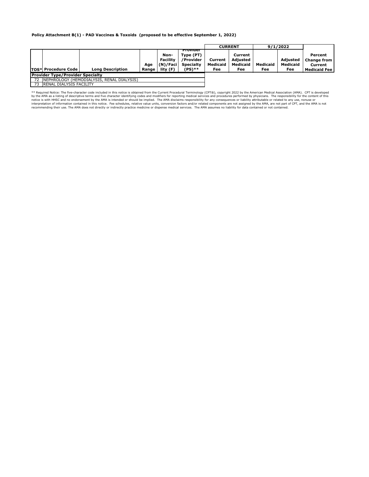#### **Policy Attachment B(1) - PAD Vaccines & Toxoids (proposed to be effective September 1, 2022)**

|                                               |                              |                         |       |                                     |                                                        |                            | <b>CURRENT</b>                         | 9/1/2022 |                             |                                            |
|-----------------------------------------------|------------------------------|-------------------------|-------|-------------------------------------|--------------------------------------------------------|----------------------------|----------------------------------------|----------|-----------------------------|--------------------------------------------|
|                                               |                              |                         | Aae   | Non-<br><b>Facility</b><br>(N)/Faci | Provider<br>Type (PT)<br>/Provider<br><b>Specialty</b> | Current<br><b>Medicaid</b> | Current<br><b>Adjusted</b><br>Medicaid | Medicaid | Adiusted<br><b>Medicaid</b> | Percent<br><b>Change from I</b><br>Current |
|                                               | <b>TOS* Procedure Code  </b> | <b>Long Description</b> | Range | lity (F)                            | $(PS)**$                                               | Fee                        | Fee                                    | Fee      | Fee                         | <b>Medicaid Fee l</b>                      |
| <b>Provider Type/Provider Specialty</b>       |                              |                         |       |                                     |                                                        |                            |                                        |          |                             |                                            |
| 72 INEPHROLOGY (HEMODIALYSIS, RENAL DIALYSIS) |                              |                         |       |                                     |                                                        |                            |                                        |          |                             |                                            |
|                                               | 73 RENAL DIALYSIS FACILITY   |                         |       |                                     |                                                        |                            |                                        |          |                             |                                            |

\*\* Required Notice: The five-character code included in this notice is obtained from the Current Procedural Terminology (CPT®), copyright 2022 by the APMA as a listing of descriation (AMA). CPT is developed Notice: The fiv